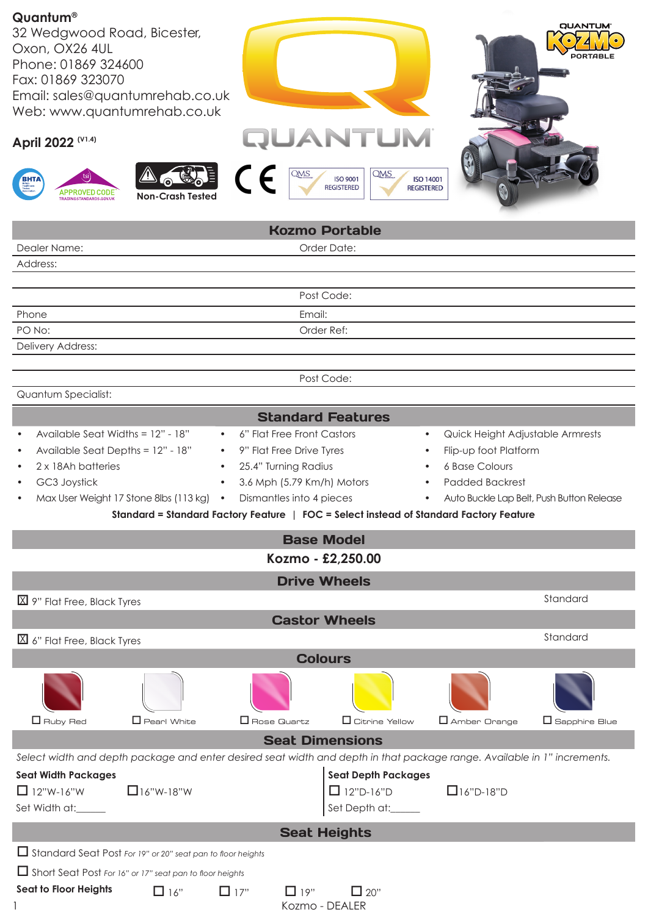## **Quantum®**

32 Wedgwood Road, Bicester, Oxon, OX26 4UL Phone: 01869 324600 Fax: 01869 323070 Email: sales@quantumrehab.co.uk Web: www.quantumrehab.co.uk

## **April 2022 (V1.4)**





 $\mathsf C$ 

J  $\epsilon$ **QMS QMS** ISO 9001<br>REGISTERED ISO 14001<br>REGISTERED



|                                                                                   | <b>Kozmo Portable</b>                                                                                                    |                                           |  |
|-----------------------------------------------------------------------------------|--------------------------------------------------------------------------------------------------------------------------|-------------------------------------------|--|
| Dealer Name:                                                                      | Order Date:                                                                                                              |                                           |  |
| Address:                                                                          |                                                                                                                          |                                           |  |
|                                                                                   |                                                                                                                          |                                           |  |
|                                                                                   | Post Code:                                                                                                               |                                           |  |
| Phone                                                                             | Email:                                                                                                                   |                                           |  |
| PO No:                                                                            | Order Ref:                                                                                                               |                                           |  |
| Delivery Address:                                                                 |                                                                                                                          |                                           |  |
|                                                                                   |                                                                                                                          |                                           |  |
| Quantum Specialist:                                                               | Post Code:                                                                                                               |                                           |  |
|                                                                                   |                                                                                                                          |                                           |  |
|                                                                                   | <b>Standard Features</b>                                                                                                 |                                           |  |
| Available Seat Widths = 12" - 18"                                                 | 6" Flat Free Front Castors<br>$\bullet$<br>$\bullet$                                                                     | Quick Height Adjustable Armrests          |  |
| Available Seat Depths = 12" - 18"                                                 | 9" Flat Free Drive Tyres<br>$\bullet$<br>$\bullet$                                                                       | Flip-up foot Platform                     |  |
| 2 x 18Ah batteries<br>$\bullet$                                                   | 25.4" Turning Radius                                                                                                     | <b>6 Base Colours</b>                     |  |
| GC3 Joystick<br>$\bullet$                                                         | 3.6 Mph (5.79 Km/h) Motors<br>$\bullet$                                                                                  | <b>Padded Backrest</b>                    |  |
| Max User Weight 17 Stone 8lbs (113 kg) .                                          | Dismantles into 4 pieces<br>$\bullet$                                                                                    | Auto Buckle Lap Belt, Push Button Release |  |
|                                                                                   | Standard = Standard Factory Feature   FOC = Select instead of Standard Factory Feature                                   |                                           |  |
|                                                                                   | <b>Base Model</b>                                                                                                        |                                           |  |
| Kozmo - £2,250.00                                                                 |                                                                                                                          |                                           |  |
| <b>Drive Wheels</b>                                                               |                                                                                                                          |                                           |  |
| $\boxtimes$ 9" Flat Free, Black Tyres                                             |                                                                                                                          | Standard                                  |  |
| <b>Castor Wheels</b>                                                              |                                                                                                                          |                                           |  |
| $\boxtimes$ 6" Flat Free, Black Tyres                                             |                                                                                                                          | Standard                                  |  |
| <b>Colours</b>                                                                    |                                                                                                                          |                                           |  |
|                                                                                   |                                                                                                                          |                                           |  |
| $\Box$ Ruby Red<br>$\Box$ Pearl White                                             | Rose Quartz<br>$\Box$ Citrine Yellow                                                                                     | Amber Orange<br>$\square$ Sapphire Blue   |  |
|                                                                                   | <b>Seat Dimensions</b>                                                                                                   |                                           |  |
|                                                                                   | Select width and depth package and enter desired seat width and depth in that package range. Available in 1" increments. |                                           |  |
| <b>Seat Width Packages</b>                                                        | <b>Seat Depth Packages</b>                                                                                               |                                           |  |
| $\Box$ 16"W-18"W<br>$\Box$ 12"W-16"W                                              | $\Box$ 12"D-16"D                                                                                                         | $\Box$ 16"D-18"D                          |  |
| Set Width at:                                                                     | Set Depth at:                                                                                                            |                                           |  |
| <b>Seat Heights</b>                                                               |                                                                                                                          |                                           |  |
| Standard Seat Post For 19" or 20" seat pan to floor heights                       |                                                                                                                          |                                           |  |
|                                                                                   |                                                                                                                          |                                           |  |
| Short Seat Post For 16" or 17" seat pan to floor heights<br>Seat to Floor Heights |                                                                                                                          |                                           |  |
| $\Box$ 16"                                                                        | $\Box$ 17"<br>$\Box$ 20"<br>$\Box$ 19"<br>Kozmo - DEALER                                                                 |                                           |  |
|                                                                                   |                                                                                                                          |                                           |  |